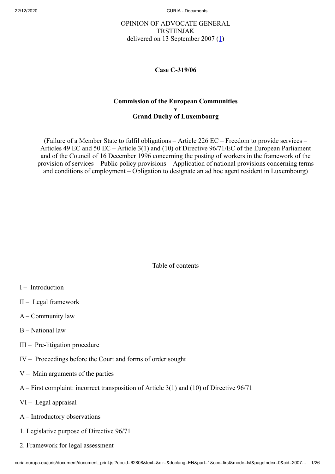# OPINION OF ADVOCATE GENERAL TRSTENJAK delivered on 13 September 2007  $(1)$  $(1)$

<span id="page-0-0"></span>**Case C‑319/06**

### **Commission of the European Communities v Grand Duchy of Luxembourg**

(Failure of a Member State to fulfil obligations – Article 226 EC – Freedom to provide services – Articles 49 EC and 50 EC – Article 3(1) and (10) of Directive 96/71/EC of the European Parliament and of the Council of 16 December 1996 concerning the posting of workers in the framework of the provision of services – Public policy provisions – Application of national provisions concerning terms and conditions of employment – Obligation to designate an ad hoc agent resident in Luxembourg)

Table of contents

- $I Introduction$
- II Legal framework
- A Community law
- B National law
- III Pre-litigation procedure
- IV Proceedings before the Court and forms of order sought
- $V -$  Main arguments of the parties
- A First complaint: incorrect transposition of Article 3(1) and (10) of Directive 96/71
- VI Legal appraisal
- A Introductory observations
- 1. Legislative purpose of Directive 96/71
- 2. Framework for legal assessment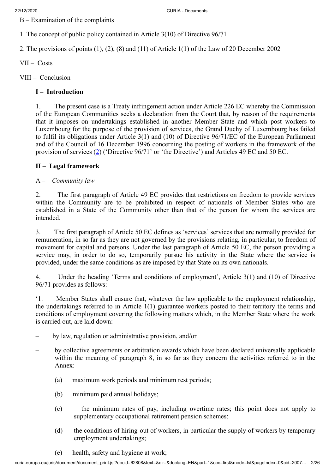B – Examination of the complaints

1. The concept of public policy contained in Article 3(10) of Directive 96/71

2. The provisions of points (1), (2), (8) and (11) of Article 1(1) of the Law of 20 December 2002

- VII Costs
- VIII Conclusion

# **I – Introduction**

1. The present case is a Treaty infringement action under Article 226 EC whereby the Commission of the European Communities seeks a declaration from the Court that, by reason of the requirements that it imposes on undertakings established in another Member State and which post workers to Luxembourg for the purpose of the provision of services, the Grand Duchy of Luxembourg has failed to fulfil its obligations under Article 3(1) and (10) of Directive 96/71/EC of the European Parliament and of the Council of 16 December 1996 concerning the posting of workers in the framework of the provision of services [\(2](#page-17-1)) ('Directive 96/71' or 'the Directive') and Articles 49 EC and 50 EC.

# <span id="page-1-0"></span>**II – Legal framework**

A – *Community law*

2. The first paragraph of Article 49 EC provides that restrictions on freedom to provide services within the Community are to be prohibited in respect of nationals of Member States who are established in a State of the Community other than that of the person for whom the services are intended.

3. The first paragraph of Article 50 EC defines as 'services' services that are normally provided for remuneration, in so far as they are not governed by the provisions relating, in particular, to freedom of movement for capital and persons. Under the last paragraph of Article 50 EC, the person providing a service may, in order to do so, temporarily pursue his activity in the State where the service is provided, under the same conditions as are imposed by that State on its own nationals.

4. Under the heading 'Terms and conditions of employment', Article 3(1) and (10) of Directive 96/71 provides as follows:

'1. Member States shall ensure that, whatever the law applicable to the employment relationship, the undertakings referred to in Article 1(1) guarantee workers posted to their territory the terms and conditions of employment covering the following matters which, in the Member State where the work is carried out, are laid down:

- by law, regulation or administrative provision, and/or
- by collective agreements or arbitration awards which have been declared universally applicable within the meaning of paragraph 8, in so far as they concern the activities referred to in the Annex:
	- (a) maximum work periods and minimum rest periods;
	- (b) minimum paid annual holidays;
	- (c) the minimum rates of pay, including overtime rates; this point does not apply to supplementary occupational retirement pension schemes;
	- (d) the conditions of hiring-out of workers, in particular the supply of workers by temporary employment undertakings;
	- (e) health, safety and hygiene at work;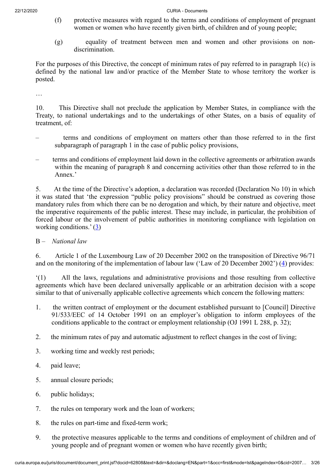- (f) protective measures with regard to the terms and conditions of employment of pregnant women or women who have recently given birth, of children and of young people;
- (g) equality of treatment between men and women and other provisions on nondiscrimination.

For the purposes of this Directive, the concept of minimum rates of pay referred to in paragraph 1(c) is defined by the national law and/or practice of the Member State to whose territory the worker is posted.

…

10. This Directive shall not preclude the application by Member States, in compliance with the Treaty, to national undertakings and to the undertakings of other States, on a basis of equality of treatment, of:

- terms and conditions of employment on matters other than those referred to in the first subparagraph of paragraph 1 in the case of public policy provisions,
- terms and conditions of employment laid down in the collective agreements or arbitration awards within the meaning of paragraph 8 and concerning activities other than those referred to in the Annex.'

5. At the time of the Directive's adoption, a declaration was recorded (Declaration No 10) in which it was stated that 'the expression "public policy provisions" should be construed as covering those mandatory rules from which there can be no derogation and which, by their nature and objective, meet the imperative requirements of the public interest. These may include, in particular, the prohibition of forced labour or the involvement of public authorities in monitoring compliance with legislation on working conditions.' [\(3](#page-17-2))

# <span id="page-2-0"></span>B – *National law*

<span id="page-2-1"></span>6. Article 1 of the Luxembourg Law of 20 December 2002 on the transposition of Directive 96/71 and on the monitoring of the implementation of labour law ('Law of 20 December 2002') [\(4](#page-17-3)) provides:

'(1) All the laws, regulations and administrative provisions and those resulting from collective agreements which have been declared universally applicable or an arbitration decision with a scope similar to that of universally applicable collective agreements which concern the following matters:

- 1. the written contract of employment or the document established pursuant to [Council] Directive 91/533/EEC of 14 October 1991 on an employer's obligation to inform employees of the conditions applicable to the contract or employment relationship (OJ 1991 L 288, p. 32);
- 2. the minimum rates of pay and automatic adjustment to reflect changes in the cost of living;
- 3. working time and weekly rest periods;
- 4. paid leave;
- 5. annual closure periods;
- 6. public holidays;
- 7. the rules on temporary work and the loan of workers;
- 8. the rules on part-time and fixed-term work;
- 9. the protective measures applicable to the terms and conditions of employment of children and of young people and of pregnant women or women who have recently given birth;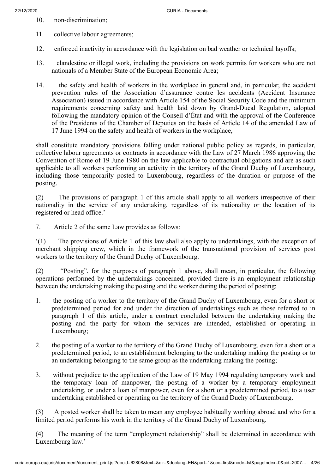- 10. non-discrimination;
- 11. collective labour agreements;
- 12. enforced inactivity in accordance with the legislation on bad weather or technical layoffs;
- 13. clandestine or illegal work, including the provisions on work permits for workers who are not nationals of a Member State of the European Economic Area;
- 14. the safety and health of workers in the workplace in general and, in particular, the accident prevention rules of the Association d'assurance contre les accidents (Accident Insurance Association) issued in accordance with Article 154 of the Social Security Code and the minimum requirements concerning safety and health laid down by Grand-Ducal Regulation, adopted following the mandatory opinion of the Conseil d'État and with the approval of the Conference of the Presidents of the Chamber of Deputies on the basis of Article 14 of the amended Law of 17 June 1994 on the safety and health of workers in the workplace,

shall constitute mandatory provisions falling under national public policy as regards, in particular, collective labour agreements or contracts in accordance with the Law of 27 March 1986 approving the Convention of Rome of 19 June 1980 on the law applicable to contractual obligations and are as such applicable to all workers performing an activity in the territory of the Grand Duchy of Luxembourg, including those temporarily posted to Luxembourg, regardless of the duration or purpose of the posting.

(2) The provisions of paragraph 1 of this article shall apply to all workers irrespective of their nationality in the service of any undertaking, regardless of its nationality or the location of its registered or head office.'

7. Article 2 of the same Law provides as follows:

'(1) The provisions of Article 1 of this law shall also apply to undertakings, with the exception of merchant shipping crew, which in the framework of the transnational provision of services post workers to the territory of the Grand Duchy of Luxembourg.

(2) "Posting", for the purposes of paragraph 1 above, shall mean, in particular, the following operations performed by the undertakings concerned, provided there is an employment relationship between the undertaking making the posting and the worker during the period of posting:

- 1. the posting of a worker to the territory of the Grand Duchy of Luxembourg, even for a short or predetermined period for and under the direction of undertakings such as those referred to in paragraph 1 of this article, under a contract concluded between the undertaking making the posting and the party for whom the services are intended, established or operating in Luxembourg;
- 2. the posting of a worker to the territory of the Grand Duchy of Luxembourg, even for a short or a predetermined period, to an establishment belonging to the undertaking making the posting or to an undertaking belonging to the same group as the undertaking making the posting;
- 3. without prejudice to the application of the Law of 19 May 1994 regulating temporary work and the temporary loan of manpower, the posting of a worker by a temporary employment undertaking, or under a loan of manpower, even for a short or a predetermined period, to a user undertaking established or operating on the territory of the Grand Duchy of Luxembourg.

(3) A posted worker shall be taken to mean any employee habitually working abroad and who for a limited period performs his work in the territory of the Grand Duchy of Luxembourg.

(4) The meaning of the term "employment relationship" shall be determined in accordance with Luxembourg law.'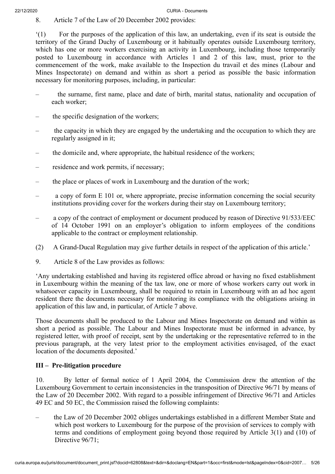8. Article 7 of the Law of 20 December 2002 provides:

'(1) For the purposes of the application of this law, an undertaking, even if its seat is outside the territory of the Grand Duchy of Luxembourg or it habitually operates outside Luxembourg territory, which has one or more workers exercising an activity in Luxembourg, including those temporarily posted to Luxembourg in accordance with Articles 1 and 2 of this law, must, prior to the commencement of the work, make available to the Inspection du travail et des mines (Labour and Mines Inspectorate) on demand and within as short a period as possible the basic information necessary for monitoring purposes, including, in particular:

- the surname, first name, place and date of birth, marital status, nationality and occupation of each worker;
- the specific designation of the workers;
- the capacity in which they are engaged by the undertaking and the occupation to which they are regularly assigned in it;
- the domicile and, where appropriate, the habitual residence of the workers;
- residence and work permits, if necessary;
- the place or places of work in Luxembourg and the duration of the work;
- a copy of form  $E$  101 or, where appropriate, precise information concerning the social security institutions providing cover for the workers during their stay on Luxembourg territory;
- a copy of the contract of employment or document produced by reason of Directive 91/533/EEC of 14 October 1991 on an employer's obligation to inform employees of the conditions applicable to the contract or employment relationship.
- (2) A Grand-Ducal Regulation may give further details in respect of the application of this article.'
- 9. Article 8 of the Law provides as follows:

'Any undertaking established and having its registered office abroad or having no fixed establishment in Luxembourg within the meaning of the tax law, one or more of whose workers carry out work in whatsoever capacity in Luxembourg, shall be required to retain in Luxembourg with an ad hoc agent resident there the documents necessary for monitoring its compliance with the obligations arising in application of this law and, in particular, of Article 7 above.

Those documents shall be produced to the Labour and Mines Inspectorate on demand and within as short a period as possible. The Labour and Mines Inspectorate must be informed in advance, by registered letter, with proof of receipt, sent by the undertaking or the representative referred to in the previous paragraph, at the very latest prior to the employment activities envisaged, of the exact location of the documents deposited.'

# **III – Pre-litigation procedure**

10. By letter of formal notice of 1 April 2004, the Commission drew the attention of the Luxembourg Government to certain inconsistencies in the transposition of Directive 96/71 by means of the Law of 20 December 2002. With regard to a possible infringement of Directive 96/71 and Articles 49 EC and 50 EC, the Commission raised the following complaints:

– the Law of 20 December 2002 obliges undertakings established in a different Member State and which post workers to Luxembourg for the purpose of the provision of services to comply with terms and conditions of employment going beyond those required by Article 3(1) and (10) of Directive 96/71;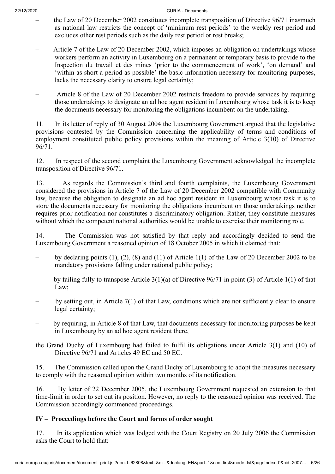- the Law of 20 December 2002 constitutes incomplete transposition of Directive 96/71 inasmuch as national law restricts the concept of 'minimum rest periods' to the weekly rest period and excludes other rest periods such as the daily rest period or rest breaks;
- Article 7 of the Law of 20 December 2002, which imposes an obligation on undertakings whose workers perform an activity in Luxembourg on a permanent or temporary basis to provide to the Inspection du travail et des mines 'prior to the commencement of work', 'on demand' and 'within as short a period as possible' the basic information necessary for monitoring purposes, lacks the necessary clarity to ensure legal certainty;
- Article 8 of the Law of 20 December 2002 restricts freedom to provide services by requiring those undertakings to designate an ad hoc agent resident in Luxembourg whose task it is to keep the documents necessary for monitoring the obligations incumbent on the undertaking.

11. In its letter of reply of 30 August 2004 the Luxembourg Government argued that the legislative provisions contested by the Commission concerning the applicability of terms and conditions of employment constituted public policy provisions within the meaning of Article 3(10) of Directive 96/71.

12. In respect of the second complaint the Luxembourg Government acknowledged the incomplete transposition of Directive 96/71.

13. As regards the Commission's third and fourth complaints, the Luxembourg Government considered the provisions in Article 7 of the Law of 20 December 2002 compatible with Community law, because the obligation to designate an ad hoc agent resident in Luxembourg whose task it is to store the documents necessary for monitoring the obligations incumbent on those undertakings neither requires prior notification nor constitutes a discriminatory obligation. Rather, they constitute measures without which the competent national authorities would be unable to exercise their monitoring role.

14. The Commission was not satisfied by that reply and accordingly decided to send the Luxembourg Government a reasoned opinion of 18 October 2005 in which it claimed that:

- by declaring points (1), (2), (8) and (11) of Article 1(1) of the Law of 20 December 2002 to be mandatory provisions falling under national public policy;
- by failing fully to transpose Article 3(1)(a) of Directive 96/71 in point (3) of Article 1(1) of that Law;
- by setting out, in Article 7(1) of that Law, conditions which are not sufficiently clear to ensure legal certainty;
- by requiring, in Article 8 of that Law, that documents necessary for monitoring purposes be kept in Luxembourg by an ad hoc agent resident there,
- the Grand Duchy of Luxembourg had failed to fulfil its obligations under Article 3(1) and (10) of Directive 96/71 and Articles 49 EC and 50 EC.

15. The Commission called upon the Grand Duchy of Luxembourg to adopt the measures necessary to comply with the reasoned opinion within two months of its notification.

16. By letter of 22 December 2005, the Luxembourg Government requested an extension to that time-limit in order to set out its position. However, no reply to the reasoned opinion was received. The Commission accordingly commenced proceedings.

# **IV – Proceedings before the Court and forms of order sought**

17. In its application which was lodged with the Court Registry on 20 July 2006 the Commission asks the Court to hold that: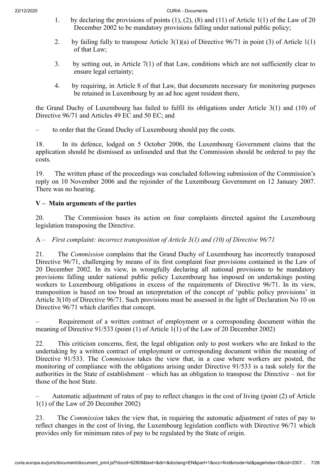- 1. by declaring the provisions of points (1), (2), (8) and (11) of Article 1(1) of the Law of 20 December 2002 to be mandatory provisions falling under national public policy;
- 2. by failing fully to transpose Article  $3(1)(a)$  of Directive  $96/71$  in point (3) of Article  $1(1)$ of that Law;
- 3. by setting out, in Article 7(1) of that Law, conditions which are not sufficiently clear to ensure legal certainty;
- 4. by requiring, in Article 8 of that Law, that documents necessary for monitoring purposes be retained in Luxembourg by an ad hoc agent resident there,

the Grand Duchy of Luxembourg has failed to fulfil its obligations under Article 3(1) and (10) of Directive 96/71 and Articles 49 EC and 50 EC; and

– to order that the Grand Duchy of Luxembourg should pay the costs.

18. In its defence, lodged on 5 October 2006, the Luxembourg Government claims that the application should be dismissed as unfounded and that the Commission should be ordered to pay the costs.

19. The written phase of the proceedings was concluded following submission of the Commission's reply on 10 November 2006 and the rejoinder of the Luxembourg Government on 12 January 2007. There was no hearing.

# **V – Main arguments of the parties**

20. The Commission bases its action on four complaints directed against the Luxembourg legislation transposing the Directive.

# A – *First complaint: incorrect transposition of Article 3(1) and (10) of Directive 96/71*

21. The *Commission* complains that the Grand Duchy of Luxembourg has incorrectly transposed Directive 96/71, challenging by means of its first complaint four provisions contained in the Law of 20 December 2002. In its view, in wrongfully declaring all national provisions to be mandatory provisions falling under national public policy Luxembourg has imposed on undertakings posting workers to Luxembourg obligations in excess of the requirements of Directive 96/71. In its view, transposition is based on too broad an interpretation of the concept of 'public policy provisions' in Article 3(10) of Directive 96/71. Such provisions must be assessed in the light of Declaration No 10 on Directive 96/71 which clarifies that concept.

– Requirement of a written contract of employment or a corresponding document within the meaning of Directive 91/533 (point (1) of Article 1(1) of the Law of 20 December 2002)

22. This criticism concerns, first, the legal obligation only to post workers who are linked to the undertaking by a written contract of employment or corresponding document within the meaning of Directive 91/533. The *Commission* takes the view that, in a case where workers are posted, the monitoring of compliance with the obligations arising under Directive 91/533 is a task solely for the authorities in the State of establishment – which has an obligation to transpose the Directive – not for those of the host State.

– Automatic adjustment of rates of pay to reflect changes in the cost of living (point (2) of Article 1(1) of the Law of 20 December 2002)

23. The *Commission* takes the view that, in requiring the automatic adjustment of rates of pay to reflect changes in the cost of living, the Luxembourg legislation conflicts with Directive 96/71 which provides only for minimum rates of pay to be regulated by the State of origin.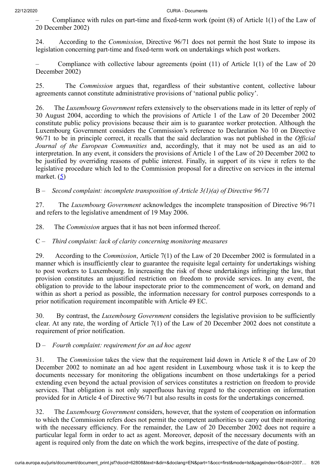– Compliance with rules on part-time and fixed-term work (point (8) of Article 1(1) of the Law of 20 December 2002)

24. According to the *Commission*, Directive 96/71 does not permit the host State to impose its legislation concerning part-time and fixed-term work on undertakings which post workers.

Compliance with collective labour agreements (point  $(11)$  of Article  $1(1)$  of the Law of 20 December 2002)

25. The *Commission* argues that, regardless of their substantive content, collective labour agreements cannot constitute administrative provisions of 'national public policy'.

26. The *Luxembourg Government* refers extensively to the observations made in its letter of reply of 30 August 2004, according to which the provisions of Article 1 of the Law of 20 December 2002 constitute public policy provisions because their aim is to guarantee worker protection. Although the Luxembourg Government considers the Commission's reference to Declaration No 10 on Directive 96/71 to be in principle correct, it recalls that the said declaration was not published in the *Official Journal of the European Communities* and, accordingly, that it may not be used as an aid to interpretation. In any event, it considers the provisions of Article 1 of the Law of 20 December 2002 to be justified by overriding reasons of public interest. Finally, in support of its view it refers to the legislative procedure which led to the Commission proposal for a directive on services in the internal market. ([5\)](#page-17-4)

<span id="page-7-0"></span>B – *Second complaint: incomplete transposition of Article 3(1)(a) of Directive 96/71*

27. The *Luxembourg Government* acknowledges the incomplete transposition of Directive 96/71 and refers to the legislative amendment of 19 May 2006.

28. The *Commission* argues that it has not been informed thereof.

# C – *Third complaint: lack of clarity concerning monitoring measures*

29. According to the *Commission*, Article 7(1) of the Law of 20 December 2002 is formulated in a manner which is insufficiently clear to guarantee the requisite legal certainty for undertakings wishing to post workers to Luxembourg. In increasing the risk of those undertakings infringing the law, that provision constitutes an unjustified restriction on freedom to provide services. In any event, the obligation to provide to the labour inspectorate prior to the commencement of work, on demand and within as short a period as possible, the information necessary for control purposes corresponds to a prior notification requirement incompatible with Article 49 EC.

30. By contrast, the *Luxembourg Government* considers the legislative provision to be sufficiently clear. At any rate, the wording of Article 7(1) of the Law of 20 December 2002 does not constitute a requirement of prior notification.

# D – *Fourth complaint: requirement for an ad hoc agent*

31. The *Commission* takes the view that the requirement laid down in Article 8 of the Law of 20 December 2002 to nominate an ad hoc agent resident in Luxembourg whose task it is to keep the documents necessary for monitoring the obligations incumbent on those undertakings for a period extending even beyond the actual provision of services constitutes a restriction on freedom to provide services. That obligation is not only superfluous having regard to the cooperation on information provided for in Article 4 of Directive 96/71 but also results in costs for the undertakings concerned.

32. The *Luxembourg Government* considers, however, that the system of cooperation on information to which the Commission refers does not permit the competent authorities to carry out their monitoring with the necessary efficiency. For the remainder, the Law of 20 December 2002 does not require a particular legal form in order to act as agent. Moreover, deposit of the necessary documents with an agent is required only from the date on which the work begins, irrespective of the date of posting.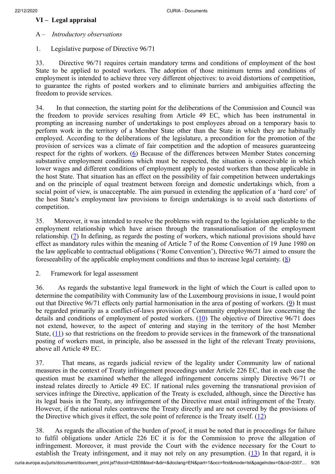### **VI – Legal appraisal**

### A – *Introductory observations*

1. Legislative purpose of Directive 96/71

33. Directive 96/71 requires certain mandatory terms and conditions of employment of the host State to be applied to posted workers. The adoption of those minimum terms and conditions of employment is intended to achieve three very different objectives: to avoid distortions of competition, to guarantee the rights of posted workers and to eliminate barriers and ambiguities affecting the freedom to provide services.

<span id="page-8-0"></span>34. In that connection, the starting point for the deliberations of the Commission and Council was the freedom to provide services resulting from Article 49 EC, which has been instrumental in prompting an increasing number of undertakings to post employees abroad on a temporary basis to perform work in the territory of a Member State other than the State in which they are habitually employed. According to the deliberations of the legislature, a precondition for the promotion of the provision of services was a climate of fair competition and the adoption of measures guaranteeing respect for the rights of workers.  $(6)$  $(6)$  Because of the differences between Member States concerning substantive employment conditions which must be respected, the situation is conceivable in which lower wages and different conditions of employment apply to posted workers than those applicable in the host State. That situation has an effect on the possibility of fair competition between undertakings and on the principle of equal treatment between foreign and domestic undertakings which, from a social point of view, is unacceptable. The aim pursued in extending the application of a 'hard core' of the host State's employment law provisions to foreign undertakings is to avoid such distortions of competition.

<span id="page-8-1"></span>35. Moreover, it was intended to resolve the problems with regard to the legislation applicable to the employment relationship which have arisen through the transnationalisation of the employment relationship. ([7](#page-17-6)) In defining, as regards the posting of workers, which national provisions should have effect as mandatory rules within the meaning of Article 7 of the Rome Convention of 19 June 1980 on the law applicable to contractual obligations ('Rome Convention'), Directive 96/71 aimed to ensure the fore seeability of the applicable employment conditions and thus to increase legal certainty.  $(8)$  $(8)$ 

<span id="page-8-2"></span>2. Framework for legal assessment

<span id="page-8-4"></span><span id="page-8-3"></span>36. As regards the substantive legal framework in the light of which the Court is called upon to determine the compatibility with Community law of the Luxembourg provisions in issue, I would point out that Directive 96/71 effects only partial harmonisation in the area of posting of workers. ([9\)](#page-17-8) It must be regarded primarily as a conflict-of-laws provision of Community employment law concerning the details and conditions of employment of posted workers. ([10\)](#page-18-0) The objective of Directive 96/71 does not extend, however, to the aspect of entering and staying in the territory of the host Member State,  $(11)$  so that restrictions on the freedom to provide services in the framework of the transnational posting of workers must, in principle, also be assessed in the light of the relevant Treaty provisions, above all Article 49 EC.

<span id="page-8-5"></span>37. That means, as regards judicial review of the legality under Community law of national measures in the context of Treaty infringement proceedings under Article 226 EC, that in each case the question must be examined whether the alleged infringement concerns simply Directive 96/71 or instead relates directly to Article 49 EC. If national rules governing the transnational provision of services infringe the Directive, application of the Treaty is excluded, although, since the Directive has its legal basis in the Treaty, any infringement of the Directive must entail infringement of the Treaty. However, if the national rules contravene the Treaty directly and are not covered by the provisions of the Directive which gives it effect, the sole point of reference is the Treaty itself.  $(12)$  $(12)$ 

<span id="page-8-7"></span><span id="page-8-6"></span>38. As regards the allocation of the burden of proof, it must be noted that in proceedings for failure to fulfil obligations under Article 226 EC it is for the Commission to prove the allegation of infringement. Moreover, it must provide the Court with the evidence necessary for the Court to establish the Treaty infringement, and it may not rely on any presumption.  $(13)$  $(13)$  In that regard, it is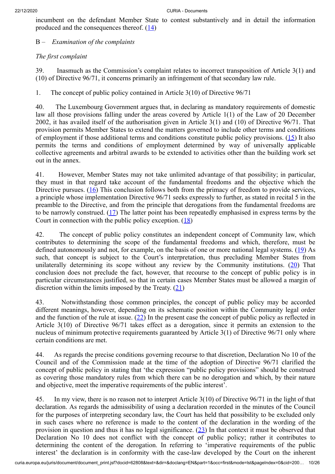<span id="page-9-0"></span>incumbent on the defendant Member State to contest substantively and in detail the information produced and the consequences thereof.  $(14)$  $(14)$  $(14)$ 

B – *Examination of the complaints*

# *The first complaint*

39. Inasmuch as the Commission's complaint relates to incorrect transposition of Article 3(1) and (10) of Directive 96/71, it concerns primarily an infringement of that secondary law rule.

1. The concept of public policy contained in Article 3(10) of Directive 96/71

<span id="page-9-1"></span>40. The Luxembourg Government argues that, in declaring as mandatory requirements of domestic law all those provisions falling under the areas covered by Article 1(1) of the Law of 20 December 2002, it has availed itself of the authorisation given in Article 3(1) and (10) of Directive 96/71. That provision permits Member States to extend the matters governed to include other terms and conditions of employment if those additional terms and conditions constitute public policy provisions. [\(15](#page-18-5)) It also permits the terms and conditions of employment determined by way of universally applicable collective agreements and arbitral awards to be extended to activities other than the building work set out in the annex.

<span id="page-9-2"></span>41. However, Member States may not take unlimited advantage of that possibility; in particular, they must in that regard take account of the fundamental freedoms and the objective which the Directive pursues. ([16\)](#page-19-0) This conclusion follows both from the primacy of freedom to provide services, a principle whose implementation Directive 96/71 seeks expressly to further, as stated in recital 5 in the preamble to the Directive, and from the principle that derogations from the fundamental freedoms are to be narrowly construed. ([17\)](#page-19-1) The latter point has been repeatedly emphasised in express terms by the Court in connection with the public policy exception. [\(18](#page-19-2))

<span id="page-9-6"></span><span id="page-9-5"></span><span id="page-9-4"></span><span id="page-9-3"></span>42. The concept of public policy constitutes an independent concept of Community law, which contributes to determining the scope of the fundamental freedoms and which, therefore, must be defined autonomously and not, for example, on the basis of one or more national legal systems. ([19\)](#page-19-3) As such, that concept is subject to the Court's interpretation, thus precluding Member States from unilaterally determining its scope without any review by the Community institutions.  $(20)$  $(20)$  That conclusion does not preclude the fact, however, that recourse to the concept of public policy is in particular circumstances justified, so that in certain cases Member States must be allowed a margin of discretion within the limits imposed by the Treaty.  $(21)$  $(21)$ 

<span id="page-9-8"></span><span id="page-9-7"></span>43. Notwithstanding those common principles, the concept of public policy may be accorded different meanings, however, depending on its schematic position within the Community legal order and the function of the rule at issue.  $(22)$  $(22)$  In the present case the concept of public policy as reflected in Article 3(10) of Directive 96/71 takes effect as a derogation, since it permits an extension to the nucleus of minimum protective requirements guaranteed by Article 3(1) of Directive 96/71 only where certain conditions are met.

44. As regards the precise conditions governing recourse to that discretion, Declaration No 10 of the Council and of the Commission made at the time of the adoption of Directive 96/71 clarified the concept of public policy in stating that 'the expression "public policy provisions" should be construed as covering those mandatory rules from which there can be no derogation and which, by their nature and objective, meet the imperative requirements of the public interest<sup>7</sup>.

<span id="page-9-9"></span>45. In my view, there is no reason not to interpret Article 3(10) of Directive 96/71 in the light of that declaration. As regards the admissibility of using a declaration recorded in the minutes of the Council for the purposes of interpreting secondary law, the Court has held that possibility to be excluded only in such cases where no reference is made to the content of the declaration in the wording of the provision in question and thus it has no legal significance.  $(23)$  $(23)$  In that context it must be observed that Declaration No 10 does not conflict with the concept of public policy; rather it contributes to determining the content of the derogation. In referring to 'imperative requirements of the public interest' the declaration is in conformity with the case-law developed by the Court on the inherent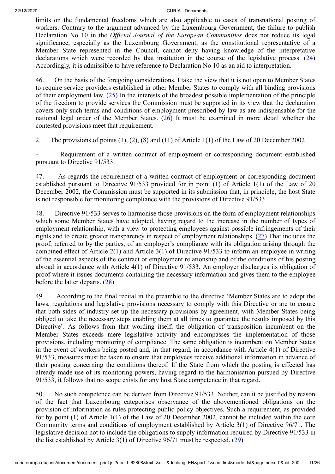limits on the fundamental freedoms which are also applicable to cases of transnational posting of workers. Contrary to the argument advanced by the Luxembourg Government, the failure to publish Declaration No 10 in the *Official Journal of the European Communities* does not reduce its legal significance, especially as the Luxembourg Government, as the constitutional representative of a Member State represented in the Council, cannot deny having knowledge of the interpretative declarations which were recorded by that institution in the course of the legislative process.  $(24)$  $(24)$ Accordingly, it is admissible to have reference to Declaration No 10 as an aid to interpretation.

<span id="page-10-1"></span><span id="page-10-0"></span>46. On the basis of the foregoing considerations, I take the view that it is not open to Member States to require service providers established in other Member States to comply with all binding provisions of their employment law.  $(25)$  $(25)$  In the interests of the broadest possible implementation of the principle of the freedom to provide services the Commission must be supported in its view that the declaration covers only such terms and conditions of employment prescribed by law as are indispensable for the national legal order of the Member States.  $(26)$  $(26)$  It must be examined in more detail whether the contested provisions meet that requirement.

<span id="page-10-2"></span>2. The provisions of points (1), (2), (8) and (11) of Article 1(1) of the Law of 20 December 2002

– Requirement of a written contract of employment or corresponding document established pursuant to Directive 91/533

47. As regards the requirement of a written contract of employment or corresponding document established pursuant to Directive 91/533 provided for in point (1) of Article 1(1) of the Law of 20 December 2002, the Commission must be supported in its submission that, in principle, the host State is not responsible for monitoring compliance with the provisions of Directive 91/533.

<span id="page-10-3"></span>48. Directive 91/533 serves to harmonise those provisions on the form of employment relationships which some Member States have adopted, having regard to the increase in the number of types of employment relationship, with a view to protecting employees against possible infringements of their rights and to create greater transparency in respect of employment relationships. [\(27](#page-20-4)) That includes the proof, referred to by the parties, of an employer's compliance with its obligation arising through the combined effect of Article 2(1) and Article 3(1) of Directive 91/533 to inform an employee in writing of the essential aspects of the contract or employment relationship and of the conditions of his posting abroad in accordance with Article 4(1) of Directive 91/533. An employer discharges its obligation of proof where it issues documents containing the necessary information and gives them to the employee before the latter departs. ([28](#page-20-5))

<span id="page-10-4"></span>49. According to the final recital in the preamble to the directive 'Member States are to adopt the laws, regulations and legislative provisions necessary to comply with this Directive or are to ensure that both sides of industry set up the necessary provisions by agreement, with Member States being obliged to take the necessary steps enabling them at all times to guarantee the results imposed by this Directive'. As follows from that wording itself, the obligation of transposition incumbent on the Member States exceeds mere legislative activity and encompasses the implementation of those provisions, including monitoring of compliance. The same obligation is incumbent on Member States in the event of workers being posted and, in that regard, in accordance with Article 4(1) of Directive 91/533, measures must be taken to ensure that employees receive additional information in advance of their posting concerning the conditions thereof. If the State from which the posting is effected has already made use of its monitoring powers, having regard to the harmonisation pursued by Directive 91/533, it follows that no scope exists for any host State competence in that regard.

<span id="page-10-5"></span>50. No such competence can be derived from Directive 91/533. Neither, can it be justified by reason of the fact that Luxembourg categorises observance of the abovementioned obligations on the provision of information as rules protecting public policy objectives. Such a requirement, as provided for by point (1) of Article 1(1) of the Law of 20 December 2002, cannot be included within the core Community terms and conditions of employment established by Article 3(1) of Directive 96/71. The legislative decision not to include the obligations to supply information required by Directive 91/533 in the list established by Article 3(1) of Directive  $96/71$  must be respected. [\(29](#page-21-0))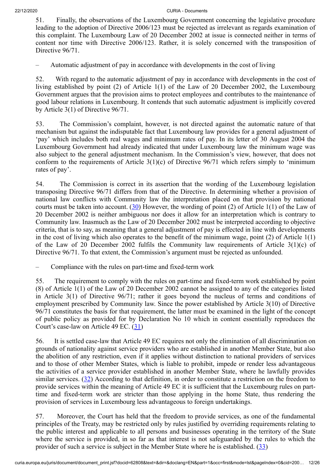51. Finally, the observations of the Luxembourg Government concerning the legislative procedure leading to the adoption of Directive 2006/123 must be rejected as irrelevant as regards examination of this complaint. The Luxembourg Law of 20 December 2002 at issue is connected neither in terms of content nor time with Directive 2006/123. Rather, it is solely concerned with the transposition of Directive  $96/71$ .

– Automatic adjustment of pay in accordance with developments in the cost of living

52. With regard to the automatic adjustment of pay in accordance with developments in the cost of living established by point (2) of Article 1(1) of the Law of 20 December 2002, the Luxembourg Government argues that the provision aims to protect employees and contributes to the maintenance of good labour relations in Luxembourg. It contends that such automatic adjustment is implicitly covered by Article 3(1) of Directive 96/71.

53. The Commission's complaint, however, is not directed against the automatic nature of that mechanism but against the indisputable fact that Luxembourg law provides for a general adjustment of 'pay' which includes both real wages and minimum rates of pay. In its letter of 30 August 2004 the Luxembourg Government had already indicated that under Luxembourg law the minimum wage was also subject to the general adjustment mechanism. In the Commission's view, however, that does not conform to the requirements of Article 3(1)(c) of Directive 96/71 which refers simply to 'minimum rates of pay'.

<span id="page-11-0"></span>54. The Commission is correct in its assertion that the wording of the Luxembourg legislation transposing Directive 96/71 differs from that of the Directive. In determining whether a provision of national law conflicts with Community law the interpretation placed on that provision by national courts must be taken into account. ([30\)](#page-21-1) However, the wording of point (2) of Article 1(1) of the Law of 20 December 2002 is neither ambiguous nor does it allow for an interpretation which is contrary to Community law. Inasmuch as the Law of 20 December 2002 must be interpreted according to objective criteria, that is to say, as meaning that a general adjustment of pay is effected in line with developments in the cost of living which also operates to the benefit of the minimum wage, point (2) of Article 1(1) of the Law of 20 December 2002 fulfils the Community law requirements of Article  $3(1)(c)$  of Directive 96/71. To that extent, the Commission's argument must be rejected as unfounded.

– Compliance with the rules on part-time and fixed-term work

55. The requirement to comply with the rules on part-time and fixed-term work established by point (8) of Article 1(1) of the Law of 20 December 2002 cannot be assigned to any of the categories listed in Article 3(1) of Directive 96/71; rather it goes beyond the nucleus of terms and conditions of employment prescribed by Community law. Since the power established by Article 3(10) of Directive 96/71 constitutes the basis for that requirement, the latter must be examined in the light of the concept of public policy as provided for by Declaration No 10 which in content essentially reproduces the Court's case-law on Article 49 EC. [\(31](#page-21-2))

<span id="page-11-1"></span>56. It is settled case-law that Article 49 EC requires not only the elimination of all discrimination on grounds of nationality against service providers who are established in another Member State, but also the abolition of any restriction, even if it applies without distinction to national providers of services and to those of other Member States, which is liable to prohibit, impede or render less advantageous the activities of a service provider established in another Member State, where he lawfully provides similar services. [\(32](#page-21-3)) According to that definition, in order to constitute a restriction on the freedom to provide services within the meaning of Article 49 EC it is sufficient that the Luxembourg rules on parttime and fixed-term work are stricter than those applying in the home State, thus rendering the provision of services in Luxembourg less advantageous to foreign undertakings.

<span id="page-11-3"></span><span id="page-11-2"></span>57. Moreover, the Court has held that the freedom to provide services, as one of the fundamental principles of the Treaty, may be restricted only by rules justified by overriding requirements relating to the public interest and applicable to all persons and businesses operating in the territory of the State where the service is provided, in so far as that interest is not safeguarded by the rules to which the provider of such a service is subject in the Member State where he is established.  $(33)$  $(33)$  $(33)$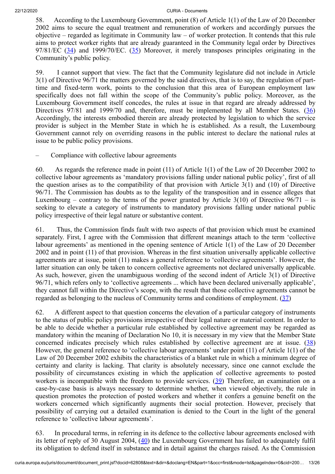58. According to the Luxembourg Government, point (8) of Article 1(1) of the Law of 20 December 2002 aims to secure the equal treatment and remuneration of workers and accordingly pursues the objective – regarded as legitimate in Community law – of worker protection. It contends that this rule aims to protect worker rights that are already guaranteed in the Community legal order by Directives  $97/81/EC$  ( $34$ ) and  $1999/70/EC$ . ( $35$ ) Moreover, it merely transposes principles originating in the Community's public policy.

<span id="page-12-2"></span><span id="page-12-1"></span><span id="page-12-0"></span>59. I cannot support that view. The fact that the Community legislature did not include in Article 3(1) of Directive 96/71 the matters governed by the said directives, that is to say, the regulation of parttime and fixed-term work, points to the conclusion that this area of European employment law specifically does not fall within the scope of the Community's public policy. Moreover, as the Luxembourg Government itself concedes, the rules at issue in that regard are already addressed by Directives 97/81 and 1999/70 and, therefore, must be implemented by all Member States. [\(36](#page-21-7)) Accordingly, the interests embodied therein are already protected by legislation to which the service provider is subject in the Member State in which he is established. As a result, the Luxembourg Government cannot rely on overriding reasons in the public interest to declare the national rules at issue to be public policy provisions.

– Compliance with collective labour agreements

60. As regards the reference made in point (11) of Article 1(1) of the Law of 20 December 2002 to collective labour agreements as 'mandatory provisions falling under national public policy', first of all the question arises as to the compatibility of that provision with Article 3(1) and (10) of Directive 96/71. The Commission has doubts as to the legality of the transposition and in essence alleges that Luxembourg – contrary to the terms of the power granted by Article  $3(10)$  of Directive  $96/71 -$  is seeking to elevate a category of instruments to mandatory provisions falling under national public policy irrespective of their legal nature or substantive content.

61. Thus, the Commission finds fault with two aspects of that provision which must be examined separately. First, I agree with the Commission that different meanings attach to the term 'collective labour agreements' as mentioned in the opening sentence of Article 1(1) of the Law of 20 December 2002 and in point (11) of that provision. Whereas in the first situation universally applicable collective agreements are at issue, point (11) makes a general reference to 'collective agreements'. However, the latter situation can only be taken to concern collective agreements not declared universally applicable. As such, however, given the unambiguous wording of the second indent of Article 3(1) of Directive 96/71, which refers only to 'collective agreements ... which have been declared universally applicable', they cannot fall within the Directive's scope, with the result that those collective agreements cannot be regarded as belonging to the nucleus of Community terms and conditions of employment.  $(37)$  $(37)$ 

<span id="page-12-4"></span><span id="page-12-3"></span>62. A different aspect to that question concerns the elevation of a particular category of instruments to the status of public policy provisions irrespective of their legal nature or material content. In order to be able to decide whether a particular rule established by collective agreement may be regarded as mandatory within the meaning of Declaration No 10, it is necessary in my view that the Member State concerned indicates precisely which rules established by collective agreement are at issue. ([38\)](#page-22-1) However, the general reference to 'collective labour agreements' under point (11) of Article 1(1) of the Law of 20 December 2002 exhibits the characteristics of a blanket rule in which a minimum degree of certainty and clarity is lacking. That clarity is absolutely necessary, since one cannot exclude the possibility of circumstances existing in which the application of collective agreements to posted workers is incompatible with the freedom to provide services. [\(39](#page-22-2)) Therefore, an examination on a case‑by‑case basis is always necessary to determine whether, when viewed objectively, the rule in question promotes the protection of posted workers and whether it confers a genuine benefit on the workers concerned which significantly augments their social protection. However, precisely that possibility of carrying out a detailed examination is denied to the Court in the light of the general reference to 'collective labour agreements'.

<span id="page-12-6"></span><span id="page-12-5"></span>63. In procedural terms, in referring in its defence to the collective labour agreements enclosed with its letter of reply of 30 August 2004, [\(40](#page-22-3)) the Luxembourg Government has failed to adequately fulfil its obligation to defend itself in substance and in detail against the charges raised. As the Commission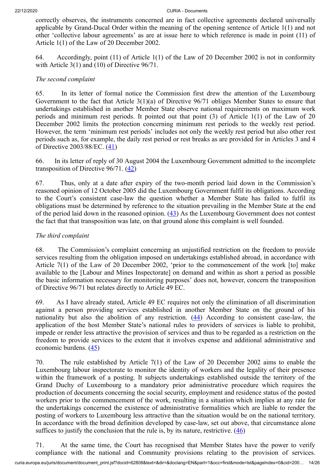correctly observes, the instruments concerned are in fact collective agreements declared universally applicable by Grand-Ducal Order within the meaning of the opening sentence of Article 1(1) and not other 'collective labour agreements' as are at issue here to which reference is made in point (11) of Article 1(1) of the Law of 20 December 2002.

64. Accordingly, point (11) of Article 1(1) of the Law of 20 December 2002 is not in conformity with Article 3(1) and (10) of Directive 96/71.

### *The second complaint*

65. In its letter of formal notice the Commission first drew the attention of the Luxembourg Government to the fact that Article 3(1)(a) of Directive 96/71 obliges Member States to ensure that undertakings established in another Member State observe national requirements on maximum work periods and minimum rest periods. It pointed out that point (3) of Article 1(1) of the Law of 20 December 2002 limits the protection concerning minimum rest periods to the weekly rest period. However, the term 'minimum rest periods' includes not only the weekly rest period but also other rest periods such as, for example, the daily rest period or rest breaks as are provided for in Articles 3 and 4 of Directive 2003/88/EC. ([41](#page-22-4))

<span id="page-13-1"></span><span id="page-13-0"></span>66. In its letter of reply of 30 August 2004 the Luxembourg Government admitted to the incomplete transposition of Directive  $96/71$ .  $(42)$  $(42)$ 

67. Thus, only at a date after expiry of the two-month period laid down in the Commission's reasoned opinion of 12 October 2005 did the Luxembourg Government fulfil its obligations. According to the Court's consistent case-law the question whether a Member State has failed to fulfil its obligations must be determined by reference to the situation prevailing in the Member State at the end of the period laid down in the reasoned opinion.  $(43)$  $(43)$  As the Luxembourg Government does not contest the fact that that transposition was late, on that ground alone this complaint is well founded.

### <span id="page-13-2"></span>*The third complaint*

68. The Commission's complaint concerning an unjustified restriction on the freedom to provide services resulting from the obligation imposed on undertakings established abroad, in accordance with Article 7(1) of the Law of 20 December 2002, 'prior to the commencement of the work [to] make available to the [Labour and Mines Inspectorate] on demand and within as short a period as possible the basic information necessary for monitoring purposes' does not, however, concern the transposition of Directive 96/71 but relates directly to Article 49 EC.

<span id="page-13-3"></span>69. As I have already stated, Article 49 EC requires not only the elimination of all discrimination against a person providing services established in another Member State on the ground of his nationality but also the abolition of any restriction. ([44\)](#page-23-0) According to consistent case-law, the application of the host Member State's national rules to providers of services is liable to prohibit, impede or render less attractive the provision of services and thus to be regarded as a restriction on the freedom to provide services to the extent that it involves expense and additional administrative and economic burdens. ([45](#page-23-1))

<span id="page-13-4"></span>70. The rule established by Article 7(1) of the Law of 20 December 2002 aims to enable the Luxembourg labour inspectorate to monitor the identity of workers and the legality of their presence within the framework of a posting. It subjects undertakings established outside the territory of the Grand Duchy of Luxembourg to a mandatory prior administrative procedure which requires the production of documents concerning the social security, employment and residence status of the posted workers prior to the commencement of the work, resulting in a situation which implies at any rate for the undertakings concerned the existence of administrative formalities which are liable to render the posting of workers to Luxembourg less attractive than the situation would be on the national territory. In accordance with the broad definition developed by case-law, set out above, that circumstance alone suffices to justify the conclusion that the rule is, by its nature, restrictive.  $(46)$  $(46)$ 

<span id="page-13-5"></span>71. At the same time, the Court has recognised that Member States have the power to verify compliance with the national and Community provisions relating to the provision of services.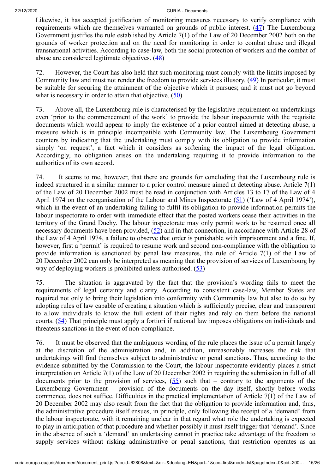<span id="page-14-0"></span>Likewise, it has accepted justification of monitoring measures necessary to verify compliance with requirements which are themselves warranted on grounds of public interest. ([47\)](#page-23-3) The Luxembourg Government justifies the rule established by Article 7(1) of the Law of 20 December 2002 both on the grounds of worker protection and on the need for monitoring in order to combat abuse and illegal transnational activities. According to case-law, both the social protection of workers and the combat of abuse are considered legitimate objectives.  $(48)$  $(48)$  $(48)$ 

<span id="page-14-2"></span><span id="page-14-1"></span>72. However, the Court has also held that such monitoring must comply with the limits imposed by Community law and must not render the freedom to provide services illusory. ([49\)](#page-24-0) In particular, it must be suitable for securing the attainment of the objective which it pursues; and it must not go beyond what is necessary in order to attain that objective.  $(50)$  $(50)$  $(50)$ 

<span id="page-14-3"></span>73. Above all, the Luxembourg rule is characterised by the legislative requirement on undertakings even 'prior to the commencement of the work' to provide the labour inspectorate with the requisite documents which would appear to imply the existence of a prior control aimed at detecting abuse, a measure which is in principle incompatible with Community law. The Luxembourg Government counters by indicating that the undertaking must comply with its obligation to provide information simply 'on request', a fact which it considers as softening the impact of the legal obligation. Accordingly, no obligation arises on the undertaking requiring it to provide information to the authorities of its own accord.

<span id="page-14-5"></span><span id="page-14-4"></span>74. It seems to me, however, that there are grounds for concluding that the Luxembourg rule is indeed structured in a similar manner to a prior control measure aimed at detecting abuse. Article 7(1) of the Law of 20 December 2002 must be read in conjunction with Articles 13 to 17 of the Law of 4 April 1974 on the reorganisation of the Labour and Mines Inspectorate  $(51)$  $(51)$  ('Law of 4 April 1974'), which in the event of an undertaking failing to fulfil its obligation to provide information permits the labour inspectorate to order with immediate effect that the posted workers cease their activities in the territory of the Grand Duchy. The labour inspectorate may only permit work to be resumed once all necessary documents have been provided,  $(52)$  $(52)$  and in that connection, in accordance with Article 28 of the Law of 4 April 1974, a failure to observe that order is punishable with imprisonment and a fine. If, however, first a 'permit' is required to resume work and second non-compliance with the obligation to provide information is sanctioned by penal law measures, the rule of Article 7(1) of the Law of 20 December 2002 can only be interpreted as meaning that the provision of services of Luxembourg by way of deploying workers is prohibited unless authorised. ([53\)](#page-24-4)

<span id="page-14-6"></span>75. The situation is aggravated by the fact that the provision's wording fails to meet the requirements of legal certainty and clarity. According to consistent case-law, Member States are required not only to bring their legislation into conformity with Community law but also to do so by adopting rules of law capable of creating a situation which is sufficiently precise, clear and transparent to allow individuals to know the full extent of their rights and rely on them before the national courts. ([54\)](#page-24-5) That principle must apply a fortiori if national law imposes obligations on individuals and threatens sanctions in the event of non-compliance.

<span id="page-14-8"></span><span id="page-14-7"></span>76. It must be observed that the ambiguous wording of the rule places the issue of a permit largely at the discretion of the administration and, in addition, unreasonably increases the risk that undertakings will find themselves subject to administrative or penal sanctions. Thus, according to the evidence submitted by the Commission to the Court, the labour inspectorate evidently places a strict interpretation on Article 7(1) of the Law of 20 December 2002 in requiring the submission in full of all documents prior to the provision of services,  $(55)$  $(55)$  such that – contrary to the arguments of the Luxembourg Government – provision of the documents on the day itself, shortly before works commence, does not suffice. Difficulties in the practical implementation of Article 7(1) of the Law of 20 December 2002 may also result from the fact that the obligation to provide information and, thus, the administrative procedure itself ensues, in principle, only following the receipt of a 'demand' from the labour inspectorate, with it remaining unclear in that regard what role the undertaking is expected to play in anticipation of that procedure and whether possibly it must itself trigger that 'demand'. Since in the absence of such a 'demand' an undertaking cannot in practice take advantage of the freedom to supply services without risking administrative or penal sanctions, that restriction operates as an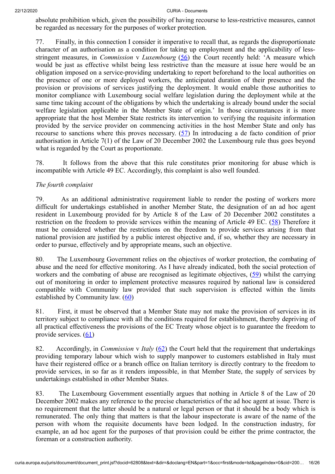absolute prohibition which, given the possibility of having recourse to less-restrictive measures, cannot be regarded as necessary for the purposes of worker protection.

<span id="page-15-0"></span>77. Finally, in this connection I consider it imperative to recall that, as regards the disproportionate character of an authorisation as a condition for taking up employment and the applicability of lessstringent measures, in *Commission* v *Luxembourg* ([56\)](#page-25-0) the Court recently held: 'A measure which would be just as effective whilst being less restrictive than the measure at issue here would be an obligation imposed on a service-providing undertaking to report beforehand to the local authorities on the presence of one or more deployed workers, the anticipated duration of their presence and the provision or provisions of services justifying the deployment. It would enable those authorities to monitor compliance with Luxembourg social welfare legislation during the deployment while at the same time taking account of the obligations by which the undertaking is already bound under the social welfare legislation applicable in the Member State of origin.' In those circumstances it is more appropriate that the host Member State restricts its intervention to verifying the requisite information provided by the service provider on commencing activities in the host Member State and only has recourse to sanctions where this proves necessary. ([57\)](#page-25-1) In introducing a de facto condition of prior authorisation in Article 7(1) of the Law of 20 December 2002 the Luxembourg rule thus goes beyond what is regarded by the Court as proportionate.

<span id="page-15-1"></span>78. It follows from the above that this rule constitutes prior monitoring for abuse which is incompatible with Article 49 EC. Accordingly, this complaint is also well founded.

### *The fourth complaint*

<span id="page-15-2"></span>79. As an additional administrative requirement liable to render the posting of workers more difficult for undertakings established in another Member State, the designation of an ad hoc agent resident in Luxembourg provided for by Article 8 of the Law of 20 December 2002 constitutes a restriction on the freedom to provide services within the meaning of Article 49 EC. [\(58](#page-25-2)) Therefore it must be considered whether the restrictions on the freedom to provide services arising from that national provision are justified by a public interest objective and, if so, whether they are necessary in order to pursue, effectively and by appropriate means, such an objective.

<span id="page-15-3"></span>80. The Luxembourg Government relies on the objectives of worker protection, the combating of abuse and the need for effective monitoring. As I have already indicated, both the social protection of workers and the combating of abuse are recognised as legitimate objectives, [\(59](#page-25-3)) whilst the carrying out of monitoring in order to implement protective measures required by national law is considered compatible with Community law provided that such supervision is effected within the limits established by Community law.  $(60)$  $(60)$ 

<span id="page-15-4"></span>81. First, it must be observed that a Member State may not make the provision of services in its territory subject to compliance with all the conditions required for establishment, thereby depriving of all practical effectiveness the provisions of the EC Treaty whose object is to guarantee the freedom to provide services. ([61\)](#page-25-5)

<span id="page-15-6"></span><span id="page-15-5"></span>82. Accordingly, in *Commission* v *Italy* [\(62](#page-25-6)) the Court held that the requirement that undertakings providing temporary labour which wish to supply manpower to customers established in Italy must have their registered office or a branch office on Italian territory is directly contrary to the freedom to provide services, in so far as it renders impossible, in that Member State, the supply of services by undertakings established in other Member States.

83. The Luxembourg Government essentially argues that nothing in Article 8 of the Law of 20 December 2002 makes any reference to the precise characteristics of the ad hoc agent at issue. There is no requirement that the latter should be a natural or legal person or that it should be a body which is remunerated. The only thing that matters is that the labour inspectorate is aware of the name of the person with whom the requisite documents have been lodged. In the construction industry, for example, an ad hoc agent for the purposes of that provision could be either the prime contractor, the foreman or a construction authority.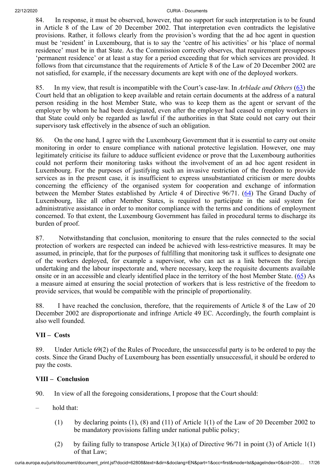84. In response, it must be observed, however, that no support for such interpretation is to be found in Article 8 of the Law of 20 December 2002. That interpretation even contradicts the legislative provisions. Rather, it follows clearly from the provision's wording that the ad hoc agent in question must be 'resident' in Luxembourg, that is to say the 'centre of his activities' or his 'place of normal residence' must be in that State. As the Commission correctly observes, that requirement presupposes 'permanent residence' or at least a stay for a period exceeding that for which services are provided. It follows from that circumstance that the requirements of Article 8 of the Law of 20 December 2002 are not satisfied, for example, if the necessary documents are kept with one of the deployed workers.

<span id="page-16-0"></span>85. In my view, that result is incompatible with the Court's case-law. In *Arblade and Others* [\(63](#page-25-7)) the Court held that an obligation to keep available and retain certain documents at the address of a natural person residing in the host Member State, who was to keep them as the agent or servant of the employer by whom he had been designated, even after the employer had ceased to employ workers in that State could only be regarded as lawful if the authorities in that State could not carry out their supervisory task effectively in the absence of such an obligation.

86. On the one hand, I agree with the Luxembourg Government that it is essential to carry out onsite monitoring in order to ensure compliance with national protective legislation. However, one may legitimately criticise its failure to adduce sufficient evidence or prove that the Luxembourg authorities could not perform their monitoring tasks without the involvement of an ad hoc agent resident in Luxembourg. For the purposes of justifying such an invasive restriction of the freedom to provide services as in the present case, it is insufficient to express unsubstantiated criticism or mere doubts concerning the efficiency of the organised system for cooperation and exchange of information between the Member States established by Article 4 of Directive 96/71. [\(64](#page-25-8)) The Grand Duchy of Luxembourg, like all other Member States, is required to participate in the said system for administrative assistance in order to monitor compliance with the terms and conditions of employment concerned. To that extent, the Luxembourg Government has failed in procedural terms to discharge its burden of proof.

<span id="page-16-1"></span>87. Notwithstanding that conclusion, monitoring to ensure that the rules connected to the social protection of workers are respected can indeed be achieved with less-restrictive measures. It may be assumed, in principle, that for the purposes of fulfilling that monitoring task it suffices to designate one of the workers deployed, for example a supervisor, who can act as a link between the foreign undertaking and the labour inspectorate and, where necessary, keep the requisite documents available onsite or in an accessible and clearly identified place in the territory of the host Member State. ([65\)](#page-25-9) As a measure aimed at ensuring the social protection of workers that is less restrictive of the freedom to provide services, that would be compatible with the principle of proportionality.

<span id="page-16-2"></span>88. I have reached the conclusion, therefore, that the requirements of Article 8 of the Law of 20 December 2002 are disproportionate and infringe Article 49 EC. Accordingly, the fourth complaint is also well founded.

# **VII – Costs**

89. Under Article 69(2) of the Rules of Procedure, the unsuccessful party is to be ordered to pay the costs. Since the Grand Duchy of Luxembourg has been essentially unsuccessful, it should be ordered to pay the costs.

# **VIII – Conclusion**

- 90. In view of all the foregoing considerations, I propose that the Court should:
- hold that:
	- (1) by declaring points (1), (8) and (11) of Article 1(1) of the Law of 20 December 2002 to be mandatory provisions falling under national public policy;
	- (2) by failing fully to transpose Article  $3(1)(a)$  of Directive 96/71 in point (3) of Article 1(1) of that Law;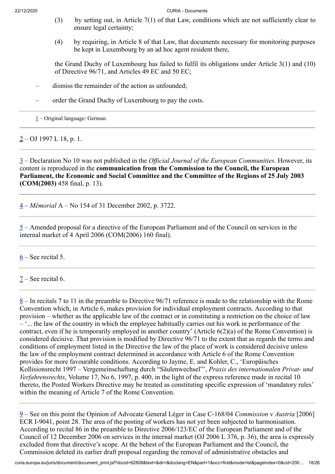- (3) by setting out, in Article 7(1) of that Law, conditions which are not sufficiently clear to ensure legal certainty;
- (4) by requiring, in Article 8 of that Law, that documents necessary for monitoring purposes be kept in Luxembourg by an ad hoc agent resident there,

the Grand Duchy of Luxembourg has failed to fulfil its obligations under Article 3(1) and (10) of Directive 96/71, and Articles 49 EC and 50 EC;

- dismiss the remainder of the action as unfounded;
- order the Grand Duchy of Luxembourg to pay the costs.

<span id="page-17-0"></span> $1$  – Original language: German.

<span id="page-17-1"></span> $2 - OJ$  $2 - OJ$  1997 L 18, p. 1.

<span id="page-17-2"></span>[3](#page-2-0) – Declaration No 10 was not published in the *Official Journal of the European Communities*. However, its content is reproduced in the **communication from the Commission to the Council, the European Parliament, the Economic and Social Committee and the Committee of the Regions of 25 July 2003 (COM(2003)** 458 final, p. 13).

<span id="page-17-3"></span>[4](#page-2-1) – *Mémorial* A – No 154 of 31 December 2002, p. 3722.

<span id="page-17-4"></span>[5](#page-7-0) – Amended proposal for a directive of the European Parliament and of the Council on services in the internal market of 4 April 2006 (COM(2006) 160 final).

<span id="page-17-5"></span> $6 6 -$  See recital 5.

<span id="page-17-6"></span>[7](#page-8-1) – See recital 6.

<span id="page-17-7"></span>[8](#page-8-2) – In recitals 7 to 11 in the preamble to Directive 96/71 reference is made to the relationship with the Rome Convention which, in Article 6, makes provision for individual employment contracts. According to that provision – whether as the applicable law of the contract or in constituting a restriction on the choice of law  $\cdot$ ... the law of the country in which the employee habitually carries out his work in performance of the contract, even if he is temporarily employed in another country' (Article 6(2)(a) of the Rome Convention) is considered decisive. That provision is modified by Directive 96/71 to the extent that as regards the terms and conditions of employment listed in the Directive the law of the place of work is considered decisive unless the law of the employment contract determined in accordance with Article 6 of the Rome Convention provides for more favourable conditions. According to Jayme, E. and Kohler, C., 'Europäisches Kollisionsrecht 1997 – Vergemeinschaftung durch "Säulenwechsel"', *Praxis des internationalen Privat- und Verfahrensrechts*, Volume 17, No 6, 1997, p. 400, in the light of the express reference made in recital 10 thereto, the Posted Workers Directive may be treated as constituting specific expression of 'mandatory rules' within the meaning of Article 7 of the Rome Convention.

<span id="page-17-8"></span>[9](#page-8-3) – See on this point the Opinion of Advocate General Léger in Case C‑168/04 *Commission* v *Austria* [2006] ECR I-9041, point 28. The area of the posting of workers has not yet been subjected to harmonisation. According to recital 86 in the preamble to Directive 2006/123/EC of the European Parliament and of the Council of 12 December 2006 on services in the internal market (OJ 2006 L 376, p. 36), the area is expressly excluded from that directive's scope. At the behest of the European Parliament and the Council, the Commission deleted its earlier draft proposal regarding the removal of administrative obstacles and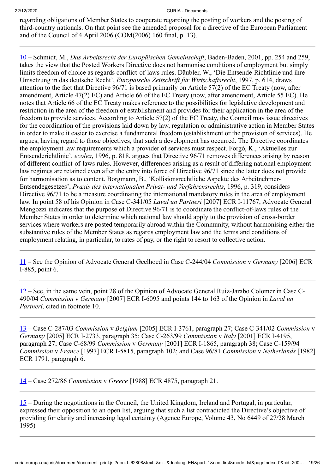regarding obligations of Member States to cooperate regarding the posting of workers and the posting of third-country nationals. On that point see the amended proposal for a directive of the European Parliament and of the Council of 4 April 2006 (COM(2006) 160 final, p. 13).

<span id="page-18-0"></span>[10](#page-8-4) – Schmidt, M., *Das Arbeitsrecht der Europäischen Gemeinschaft*, Baden-Baden, 2001, pp. 254 and 259, takes the view that the Posted Workers Directive does not harmonise conditions of employment but simply limits freedom of choice as regards conflict-of-laws rules. Däubler, W., 'Die Entsende-Richtlinie und ihre Umsetzung in das deutsche Recht', *Europäische Zeitschrift für Wirtschaftsrecht*, 1997, p. 614, draws attention to the fact that Directive 96/71 is based primarily on Article 57(2) of the EC Treaty (now, after amendment, Article 47(2) EC) and Article 66 of the EC Treaty (now, after amendment, Article 55 EC). He notes that Article 66 of the EC Treaty makes reference to the possibilities for legislative development and restriction in the area of the freedom of establishment and provides for their application in the area of the freedom to provide services. According to Article 57(2) of the EC Treaty, the Council may issue directives for the coordination of the provisions laid down by law, regulation or administrative action in Member States in order to make it easier to exercise a fundamental freedom (establishment or the provision of services). He argues, having regard to those objectives, that such a development has occurred. The Directive coordinates the employment law requirements which a provider of services must respect. Forgó, K., 'Aktuelles zur Entsenderichtlinie', *ecolex*, 1996, p. 818, argues that Directive 96/71 removes differences arising by reason of different conflict-of-laws rules. However, differences arising as a result of differing national employment law regimes are retained even after the entry into force of Directive 96/71 since the latter does not provide for harmonisation as to content. Borgmann, B., 'Kollisionsrechtliche Aspekte des Arbeitnehmer-Entsendegesetzes', *Praxis des internationalen Privat- und Verfahrensrechts*, 1996, p. 319, considers Directive 96/71 to be a measure coordinating the international mandatory rules in the area of employment law. In point 58 of his Opinion in Case C-341/05 *Laval un Partneri* [2007] ECR I-11767, Advocate General Mengozzi indicates that the purpose of Directive 96/71 is to coordinate the conflict-of-laws rules of the Member States in order to determine which national law should apply to the provision of cross-border services where workers are posted temporarily abroad within the Community, without harmonising either the substantive rules of the Member States as regards employment law and the terms and conditions of employment relating, in particular, to rates of pay, or the right to resort to collective action.

<span id="page-18-1"></span>[11](#page-8-5) – See the Opinion of Advocate General Geelhoed in Case C-244/04 *Commission* v *Germany* [2006] ECR I-885, point 6.

<span id="page-18-2"></span>[12](#page-8-6) – See, in the same vein, point 28 of the Opinion of Advocate General Ruiz-Jarabo Colomer in Case C-490/04 *Commission* v *Germany* [2007] ECR I-6095 and points 144 to 163 of the Opinion in *Laval un Partneri*, cited in footnote 10.

<span id="page-18-3"></span>[13](#page-8-7) – Case C-287/03 *Commission* v *Belgium* [2005] ECR I-3761, paragraph 27; Case C‑341/02 *Commission* v *Germany* [2005] ECR I-2733, paragraph 35; Case C‑263/99 *Commission* v *Italy* [2001] ECR I-4195, paragraph 27; Case C-68/99 *Commission* v *Germany* [2001] ECR I-1865, paragraph 38; Case C-159/94 *Commission* v *France* [1997] ECR I-5815, paragraph 102; and Case 96/81 *Commission* v *Netherlands* [1982] ECR 1791, paragraph 6.

<span id="page-18-4"></span>[14](#page-9-0) – Case 272/86 *Commission* v *Greece* [1988] ECR 4875, paragraph 21.

<span id="page-18-5"></span>[15](#page-9-1) – During the negotiations in the Council, the United Kingdom, Ireland and Portugal, in particular, expressed their opposition to an open list, arguing that such a list contradicted the Directive's objective of providing for clarity and increasing legal certainty (Agence Europe, Volume 43, No 6449 of 27/28 March 1995)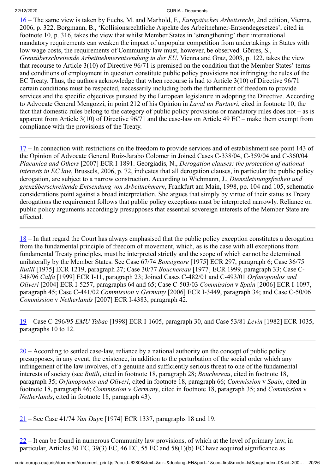<span id="page-19-0"></span>[16](#page-9-2) – The same view is taken by Fuchs, M. and Marhold, F., *Europäisches Arbeitsrecht*, 2nd edition, Vienna, 2006, p. 322. Borgmann, B., 'Kollisionsrechtliche Aspekte des Arbeitnehmer‑Entsendegesetzes', cited in footnote 10, p. 316, takes the view that whilst Member States in 'strengthening' their international mandatory requirements can weaken the impact of unpopular competition from undertakings in States with low wage costs, the requirements of Community law must, however, be observed. Görres, S., *Grenzüberschreitende Arbeitnehmerentsendung in der EU*, Vienna and Graz, 2003, p. 122, takes the view that recourse to Article 3(10) of Directive 96/71 is premised on the condition that the Member States' terms and conditions of employment in question constitute public policy provisions not infringing the rules of the EC Treaty. Thus, the authors acknowledge that when recourse is had to Article 3(10) of Directive 96/71 certain conditions must be respected, necessarily including both the furtherment of freedom to provide services and the specific objectives pursued by the European legislature in adopting the Directive. According to Advocate General Mengozzi, in point 212 of his Opinion in *Laval un Partneri*, cited in footnote 10, the fact that domestic rules belong to the category of public policy provisions or mandatory rules does not – as is apparent from Article 3(10) of Directive 96/71 and the case-law on Article 49 EC – make them exempt from compliance with the provisions of the Treaty.

<span id="page-19-1"></span>[17](#page-9-3) – In connection with restrictions on the freedom to provide services and of establishment see point 143 of the Opinion of Advocate General Ruiz-Jarabo Colomer in Joined Cases C‑338/04, C‑359/04 and C‑360/04 *Placanica and Others* [2007] ECR I-1891. Georgiadis, N., *Derogation clauses: the protection of national interests in EC law*, Brussels, 2006, p. 72, indicates that all derogation clauses, in particular the public policy derogation, are subject to a narrow construction. According to Wichmann, J., *Dienstleistungsfreiheit und grenzüberschreitende Entsendung von Arbeitnehmern*, Frankfurt am Main, 1998, pp. 104 and 105, schematic considerations point against a broad interpretation. She argues that simply by virtue of their status as Treaty derogations the requirement follows that public policy exceptions must be interpreted narrowly. Reliance on public policy arguments accordingly presupposes that essential sovereign interests of the Member State are affected.

<span id="page-19-2"></span>[18](#page-9-4) – In that regard the Court has always emphasised that the public policy exception constitutes a derogation from the fundamental principle of freedom of movement, which, as is the case with all exceptions from fundamental Treaty principles, must be interpreted strictly and the scope of which cannot be determined unilaterally by the Member States. See Case 67/74 *Bonsignore* [1975] ECR 297, paragraph 6; Case 36/75 *Rutili* [1975] ECR 1219, paragraph 27; Case 30/77 *Bouchereau* [1977] ECR 1999, paragraph 33; Case C-348/96 *Calfa* [1999] ECR I‑11, paragraph 23; Joined Cases C-482/01 and C‑493/01 *Orfanopoulos and Oliveri* [2004] ECR I‑5257, paragraphs 64 and 65; Case C-503/03 *Commission* v *Spain* [2006] ECR I‑1097, paragraph 45; Case C-441/02 *Commission* v *Germany* [2006] ECR I-3449, paragraph 34; and Case C-50/06 *Commission* v *Netherlands* [2007] ECR I-4383, paragraph 42.

<span id="page-19-3"></span>[19](#page-9-5) – Case C-296/95 *EMU Tabac* [1998] ECR I-1605, paragraph 30, and Case 53/81 *Levin* [1982] ECR 1035, paragraphs 10 to 12.

<span id="page-19-4"></span> $20 20 -$  According to settled case-law, reliance by a national authority on the concept of public policy presupposes, in any event, the existence, in addition to the perturbation of the social order which any infringement of the law involves, of a genuine and sufficiently serious threat to one of the fundamental interests of society (see *Rutili*, cited in footnote 18, paragraph 28; *Bouchereau*, cited in footnote 18, paragraph 35; *Orfanopoulos and Oliveri*, cited in footnote 18, paragraph 66; *Commission* v *Spain*, cited in footnote 18, paragraph 46; *Commission* v *Germany*, cited in footnote 18, paragraph 35; and *Commission* v *Netherlands*, cited in footnote 18, paragraph 43).

<span id="page-19-5"></span>[21](#page-9-7) – See Case 41/74 *Van Duyn* [1974] ECR 1337, paragraphs 18 and 19.

<span id="page-19-6"></span>[22](#page-9-8) – It can be found in numerous Community law provisions, of which at the level of primary law, in particular, Articles 30 EC, 39(3) EC, 46 EC, 55 EC and 58(1)(b) EC have acquired significance as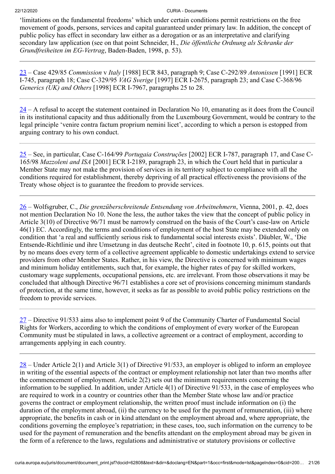'limitations on the fundamental freedoms' which under certain conditions permit restrictions on the free movement of goods, persons, services and capital guaranteed under primary law. In addition, the concept of public policy has effect in secondary law either as a derogation or as an interpretative and clarifying secondary law application (see on that point Schneider, H., *Die öffentliche Ordnung als Schranke der Grundfreiheiten im EG-Vertrag*, Baden‑Baden, 1998, p. 53).

<span id="page-20-0"></span>[23](#page-9-9) – Case 429/85 *Commission* v *Italy* [1988] ECR 843, paragraph 9; Case C-292/89 *Antonissen* [1991] ECR I-745, paragraph 18; Case C-329/95 *VAG Sverige* [1997] ECR I-2675, paragraph 23; and Case C-368/96 *Generics (UK) and Others* [1998] ECR I-7967, paragraphs 25 to 28.

<span id="page-20-1"></span>[24](#page-10-0) – A refusal to accept the statement contained in Declaration No 10, emanating as it does from the Council in its institutional capacity and thus additionally from the Luxembourg Government, would be contrary to the legal principle 'venire contra factum proprium nemini licet', according to which a person is estopped from arguing contrary to his own conduct.

<span id="page-20-2"></span>[25](#page-10-1) – See, in particular, Case C-164/99 *Portugaia Construções* [2002] ECR I-787, paragraph 17, and Case C-165/98 *Mazzoleni and ISA* [2001] ECR I-2189, paragraph 23, in which the Court held that in particular a Member State may not make the provision of services in its territory subject to compliance with all the conditions required for establishment, thereby depriving of all practical effectiveness the provisions of the Treaty whose object is to guarantee the freedom to provide services.

<span id="page-20-3"></span>[26](#page-10-2) – Wolfsgruber, C., *Die grenzüberschreitende Entsendung von Arbeitnehmern*, Vienna, 2001, p. 42, does not mention Declaration No 10. None the less, the author takes the view that the concept of public policy in Article 3(10) of Directive 96/71 must be narrowly construed on the basis of the Court's case-law on Article 46(1) EC. Accordingly, the terms and conditions of employment of the host State may be extended only on condition that 'a real and sufficiently serious risk to fundamental social interests exists'. Däubler, W., 'Die Entsende-Richtlinie und ihre Umsetzung in das deutsche Recht', cited in footnote 10, p. 615, points out that by no means does every term of a collective agreement applicable to domestic undertakings extend to service providers from other Member States. Rather, in his view, the Directive is concerned with minimum wages and minimum holiday entitlements, such that, for example, the higher rates of pay for skilled workers, customary wage supplements, occupational pensions, etc. are irrelevant. From those observations it may be concluded that although Directive 96/71 establishes a core set of provisions concerning minimum standards of protection, at the same time, however, it seeks as far as possible to avoid public policy restrictions on the freedom to provide services.

<span id="page-20-4"></span>[27](#page-10-3) – Directive 91/533 aims also to implement point 9 of the Community Charter of Fundamental Social Rights for Workers, according to which the conditions of employment of every worker of the European Community must be stipulated in laws, a collective agreement or a contract of employment, according to arrangements applying in each country.

<span id="page-20-5"></span>[28](#page-10-4) – Under Article 2(1) and Article 3(1) of Directive 91/533, an employer is obliged to inform an employee in writing of the essential aspects of the contract or employment relationship not later than two months after the commencement of employment. Article 2(2) sets out the minimum requirements concerning the information to be supplied. In addition, under Article 4(1) of Directive 91/533, in the case of employees who are required to work in a country or countries other than the Member State whose law and/or practice governs the contract or employment relationship, the written proof must include information on (i) the duration of the employment abroad, (ii) the currency to be used for the payment of remuneration, (iii) where appropriate, the benefits in cash or in kind attendant on the employment abroad and, where appropriate, the conditions governing the employee's repatriation; in these cases, too, such information on the currency to be used for the payment of remuneration and the benefits attendant on the employment abroad may be given in the form of a reference to the laws, regulations and administrative or statutory provisions or collective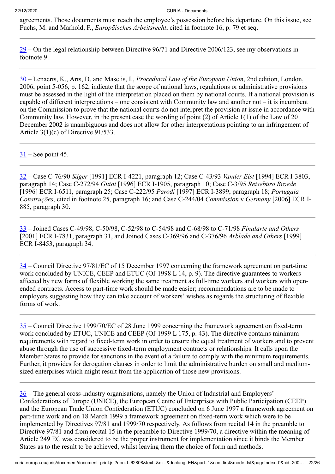agreements. Those documents must reach the employee's possession before his departure. On this issue, see Fuchs, M. and Marhold, F., *Europäisches Arbeitsrecht*, cited in footnote 16, p. 79 et seq.

<span id="page-21-0"></span>[29](#page-10-5) – On the legal relationship between Directive 96/71 and Directive 2006/123, see my observations in footnote 9.

<span id="page-21-1"></span>[30](#page-11-0) – Lenaerts, K., Arts, D. and Maselis, I., *Procedural Law of the European Union*, 2nd edition, London, 2006, point 5-056, p. 162, indicate that the scope of national laws, regulations or administrative provisions must be assessed in the light of the interpretation placed on them by national courts. If a national provision is capable of different interpretations – one consistent with Community law and another not – it is incumbent on the Commission to prove that the national courts do not interpret the provision at issue in accordance with Community law. However, in the present case the wording of point (2) of Article 1(1) of the Law of 20 December 2002 is unambiguous and does not allow for other interpretations pointing to an infringement of Article 3(1)(c) of Directive 91/533.

<span id="page-21-2"></span> $31$  – See point 45.

<span id="page-21-3"></span>[32](#page-11-2) – Case C-76/90 *Säger* [1991] ECR I-4221, paragraph 12; Case C-43/93 *Vander Elst* [1994] ECR I-3803, paragraph 14; Case C-272/94 *Guiot* [1996] ECR I-1905, paragraph 10; Case C-3/95 *Reisebüro Broede* [1996] ECR I-6511, paragraph 25; Case C-222/95 *Parodi* [1997] ECR I‑3899, paragraph 18; *Portugaia Construções*, cited in footnote 25, paragraph 16; and Case C‑244/04 *Commission* v *Germany* [2006] ECR I-885, paragraph 30.

<span id="page-21-4"></span>[33](#page-11-3) – Joined Cases C-49/98, C‑50/98, C‑52/98 to C‑54/98 and C‑68/98 to C‑71/98 *Finalarte and Others* [2001] ECR I-7831, paragraph 31, and Joined Cases C-369/96 and C‑376/96 *Arblade and Others* [1999] ECR I‑8453, paragraph 34.

<span id="page-21-5"></span>[34](#page-12-0) – Council Directive 97/81/EC of 15 December 1997 concerning the framework agreement on part-time work concluded by UNICE, CEEP and ETUC (OJ 1998 L 14, p. 9). The directive guarantees to workers affected by new forms of flexible working the same treatment as full-time workers and workers with openended contracts. Access to part-time work should be made easier; recommendations are to be made to employers suggesting how they can take account of workers' wishes as regards the structuring of flexible forms of work.

<span id="page-21-6"></span>[35](#page-12-1) – Council Directive 1999/70/EC of 28 June 1999 concerning the framework agreement on fixed-term work concluded by ETUC, UNICE and CEEP (OJ 1999 L 175, p. 43). The directive contains minimum requirements with regard to fixed-term work in order to ensure the equal treatment of workers and to prevent abuse through the use of successive fixed-term employment contracts or relationships. It calls upon the Member States to provide for sanctions in the event of a failure to comply with the minimum requirements. Further, it provides for derogation clauses in order to limit the administrative burden on small and mediumsized enterprises which might result from the application of those new provisions.

<span id="page-21-7"></span>[36](#page-12-2) – The general cross-industry organisations, namely the Union of Industrial and Employers' Confederations of Europe (UNICE), the European Centre of Enterprises with Public Participation (CEEP) and the European Trade Union Confederation (ETUC) concluded on 6 June 1997 a framework agreement on part-time work and on 18 March 1999 a framework agreement on fixed-term work which were to be implemented by Directives 97/81 and 1999/70 respectively. As follows from recital 14 in the preamble to Directive 97/81 and from recital 15 in the preamble to Directive 1999/70, a directive within the meaning of Article 249 EC was considered to be the proper instrument for implementation since it binds the Member States as to the result to be achieved, whilst leaving them the choice of form and methods.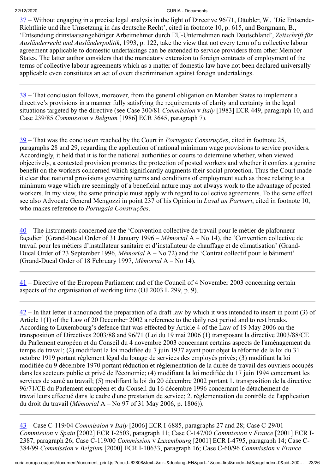<span id="page-22-0"></span>[37](#page-12-3) – Without engaging in a precise legal analysis in the light of Directive 96/71, Däubler, W., 'Die Entsende-Richtlinie und ihre Umsetzung in das deutsche Recht', cited in footnote 10, p. 615, and Borgmann, B., 'Entsendung drittstaatsangehöriger Arbeitnehmer durch EU-Unternehmen nach Deutschland', *Zeitschrift für Ausländerrecht und Ausländerpolitik*, 1993, p. 122, take the view that not every term of a collective labour agreement applicable to domestic undertakings can be extended to service providers from other Member States. The latter author considers that the mandatory extension to foreign contracts of employment of the terms of collective labour agreements which as a matter of domestic law have not been declared universally applicable even constitutes an act of overt discrimination against foreign undertakings.

<span id="page-22-1"></span> $38$  – That conclusion follows, moreover, from the general obligation on Member States to implement a directive's provisions in a manner fully satisfying the requirements of clarity and certainty in the legal situations targeted by the directive (see Case 300/81 *Commission* v *Italy* [1983] ECR 449, paragraph 10, and Case 239/85 *Commission* v *Belgium* [1986] ECR 3645, paragraph 7).

<span id="page-22-2"></span>[39](#page-12-5) – That was the conclusion reached by the Court in *Portugaia Construções*, cited in footnote 25, paragraphs 28 and 29, regarding the application of national minimum wage provisions to service providers. Accordingly, it held that it is for the national authorities or courts to determine whether, when viewed objectively, a contested provision promotes the protection of posted workers and whether it confers a genuine benefit on the workers concerned which significantly augments their social protection. Thus the Court made it clear that national provisions governing terms and conditions of employment such as those relating to a minimum wage which are seemingly of a beneficial nature may not always work to the advantage of posted workers. In my view, the same principle must apply with regard to collective agreements. To the same effect see also Advocate General Mengozzi in point 237 of his Opinion in *Laval un Partneri*, cited in footnote 10, who makes reference to *Portugaia Construções*.

<span id="page-22-3"></span> $40$  – The instruments concerned are the 'Convention collective de travail pour le métier de plafonneurfaçadier' (Grand-Ducal Order of 31 January 1996 – *Mémorial* A – No 14), the 'Convention collective de travail pour les métiers d'installateur sanitaire et d'installateur de chauffage et de climatisation' (Grand-Ducal Order of 23 September 1996, *Mémorial* A – No 72) and the 'Contrat collectif pour le bâtiment' (Grand-Ducal Order of 18 February 1997, *Mémorial* A – No 14).

<span id="page-22-4"></span>[41](#page-13-0) – Directive of the European Parliament and of the Council of 4 November 2003 concerning certain aspects of the organisation of working time (OJ 2003 L 299, p. 9).

<span id="page-22-5"></span> $42$  – In that letter it announced the preparation of a draft law by which it was intended to insert in point (3) of Article 1(1) of the Law of 20 December 2002 a reference to the daily rest period and to rest breaks. According to Luxembourg's defence that was effected by Article 4 of the Law of 19 May 2006 on the transposition of Directives 2003/88 and 96/71 (Loi du 19 mai 2006 (1) transposant la directive 2003/88/CE du Parlement européen et du Conseil du 4 novembre 2003 concernant certains aspects de l'aménagement du temps de travail; (2) modifiant la loi modifiée du 7 juin 1937 ayant pour objet la réforme de la loi du 31 octobre 1919 portant règlement légal du louage de services des employés privés; (3) modifiant la loi modifiée du 9 décembre 1970 portant réduction et réglementation de la durée de travail des ouvriers occupés dans les secteurs public et privé de l'économie; (4) modifiant la loi modifiée du 17 juin 1994 concernant les services de santé au travail; (5) modifiant la loi du 20 décembre 2002 portant 1. transposition de la directive 96/71/CE du Parlement européen et du Conseil du 16 décembre 1996 concernant le détachement de travailleurs effectué dans le cadre d'une prestation de service; 2. réglementation du contrôle de l'application du droit du travail (*Mémorial* A – No 97 of 31 May 2006, p. 1806)).

<span id="page-22-6"></span>[43](#page-13-2) – Case C-119/04 *Commission* v *Italy* [2006] ECR I-6885, paragraphs 27 and 28; Case C-29/01 *Commission* v *Spain* [2002] ECR I-2503, paragraph 11; Case C-147/00 *Commission* v *France* [2001] ECR I-2387, paragraph 26; Case C-119/00 *Commission* v *Luxembourg* [2001] ECR I‑4795, paragraph 14; Case C-384/99 *Commission* v *Belgium* [2000] ECR I-10633, paragraph 16; Case C-60/96 *Commission* v *France*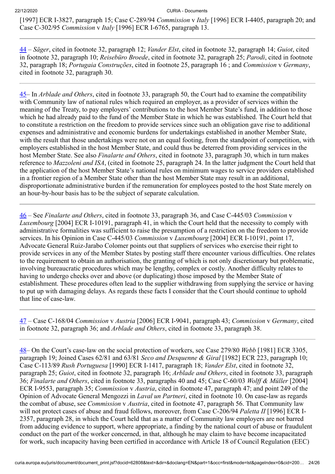[1997] ECR I-3827, paragraph 15; Case C-289/94 *Commission* v *Italy* [1996] ECR I-4405, paragraph 20; and Case C-302/95 *Commission* v *Italy* [1996] ECR I-6765, paragraph 13.

<span id="page-23-0"></span>[44](#page-13-3) – *Säger*, cited in footnote 32, paragraph 12; *Vander Elst*, cited in footnote 32, paragraph 14; *Guiot*, cited in footnote 32, paragraph 10; *Reisebüro Broede*, cited in footnote 32, paragraph 25; *Parodi*, cited in footnote 32, paragraph 18; *Portugaia Construções*, cited in footnote 25, paragraph 16 ; and *Commission* v *Germany*, cited in footnote 32, paragraph 30.

<span id="page-23-1"></span>[45](#page-13-4)– In *Arblade and Others*, cited in footnote 33, paragraph 50, the Court had to examine the compatibility with Community law of national rules which required an employer, as a provider of services within the meaning of the Treaty, to pay employers' contributions to the host Member State's fund, in addition to those which he had already paid to the fund of the Member State in which he was established. The Court held that to constitute a restriction on the freedom to provide services since such an obligation gave rise to additional expenses and administrative and economic burdens for undertakings established in another Member State, with the result that those undertakings were not on an equal footing, from the standpoint of competition, with employers established in the host Member State, and could thus be deterred from providing services in the host Member State. See also *Finalarte and Others*, cited in footnote 33, paragraph 30, which in turn makes reference to *Mazzoleni and ISA*, (cited in footnote 25, paragraph 24. In the latter judgment the Court held that the application of the host Member State's national rules on minimum wages to service providers established in a frontier region of a Member State other than the host Member State may result in an additional, disproportionate administrative burden if the remuneration for employees posted to the host State merely on an hour-by-hour basis has to be the subject of separate calculation.

<span id="page-23-2"></span>[46](#page-13-5) – See *Finalarte and Others*, cited in footnote 33, paragraph 36, and Case C-445/03 *Commission* v *Luxembourg* [2004] ECR I-10191, paragraph 41, in which the Court held that the necessity to comply with administrative formalities was sufficient to raise the presumption of a restriction on the freedom to provide services. In his Opinion in Case C-445/03 *Commission* v *Luxembourg* [2004] ECR I‑10191, point 17, Advocate General Ruiz-Jarabo Colomer points out that suppliers of services who exercise their right to provide services in any of the Member States by posting staff there encounter various difficulties. One relates to the requirement to obtain an authorisation, the granting of which is not only discretionary but problematic, involving bureaucratic procedures which may be lengthy, complex or costly. Another difficulty relates to having to undergo checks over and above (or duplicating) those imposed by the Member State of establishment. These procedures often lead to the supplier withdrawing from supplying the service or having to put up with damaging delays. As regards these facts I consider that the Court should continue to uphold that line of case-law.

<span id="page-23-3"></span>[47](#page-14-0) – Case C-168/04 *Commission* v *Austria* [2006] ECR I-9041, paragraph 43; *Commission* v *Germany*, cited in footnote 32, paragraph 36; and *Arblade and Others*, cited in footnote 33, paragraph 38.

<span id="page-23-4"></span>[48](#page-14-1)– On the Court's case-law on the social protection of workers, see Case 279/80 *Webb* [1981] ECR 3305, paragraph 19; Joined Cases 62/81 and 63/81 *Seco and Desquenne & Giral* [1982] ECR 223, paragraph 10; Case C‑113/89 *Rush Portuguesa* [1990] ECR I-1417, paragraph 18; *Vander Elst*, cited in footnote 32, paragraph 25; *Guiot*, cited in footnote 32, paragraph 16; *Arblade and Others*, cited in footnote 33, paragraph 36; *Finalarte and Others*, cited in footnote 33, paragraphs 40 and 45; Case C‑60/03 *Wolff & Müller* [2004] ECR I‑9553, paragraph 35; *Commission* v *Austria*, cited in footnote 47, paragraph 47; and point 249 of the Opinion of Advocate General Mengozzi in *Laval un Partneri*, cited in footnote 10. On case-law as regards the combat of abuse, see *Commission* v *Austria*, cited in footnote 47, paragraph 56. That Community law will not protect cases of abuse and fraud follows, moreover, from Case C-206/94 *Paletta II* [1996] ECR I-2357, paragraph 28, in which the Court held that as a matter of Community law employers are not barred from adducing evidence to support, where appropriate, a finding by the national court of abuse or fraudulent conduct on the part of the worker concerned, in that, although he may claim to have become incapacitated for work, such incapacity having been certified in accordance with Article 18 of Council Regulation (EEC)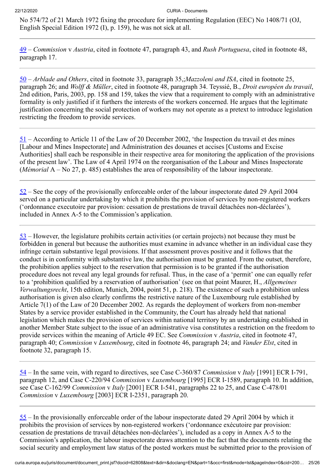No 574/72 of 21 March 1972 fixing the procedure for implementing Regulation (EEC) No 1408/71 (OJ, English Special Edition 1972 (I), p. 159), he was not sick at all.

<span id="page-24-0"></span>[49](#page-14-2) – *Commission* v *Austria*, cited in footnote 47, paragraph 43, and *Rush Portuguesa*, cited in footnote 48, paragraph 17.

<span id="page-24-1"></span>[50](#page-14-3) – *Arblade and Others*, cited in footnote 33, paragraph 35,;*Mazzoleni and ISA*, cited in footnote 25, paragraph 26; and *Wolff & Müller*, cited in footnote 48, paragraph 34. Teyssié, B., *Droit européen du travail*, 2nd edition, Paris, 2003, pp. 158 and 159, takes the view that a requirement to comply with an administrative formality is only justified if it furthers the interests of the workers concerned. He argues that the legitimate justification concerning the social protection of workers may not operate as a pretext to introduce legislation restricting the freedom to provide services.

<span id="page-24-2"></span>[51](#page-14-4) – According to Article 11 of the Law of 20 December 2002, 'the Inspection du travail et des mines [Labour and Mines Inspectorate] and Administration des douanes et accises [Customs and Excise Authorities] shall each be responsible in their respective area for monitoring the application of the provisions of the present law'. The Law of 4 April 1974 on the reorganisation of the Labour and Mines Inspectorate (*Mémorial* A – No 27, p. 485) establishes the area of responsibility of the labour inspectorate.

<span id="page-24-3"></span> $52$  – See the copy of the provisionally enforceable order of the labour inspectorate dated 29 April 2004 served on a particular undertaking by which it prohibits the provision of services by non-registered workers ('ordonnance executoire par provision: cessation de prestations de travail détachées non-déclarées'), included in Annex A-5 to the Commission's application.

<span id="page-24-4"></span>[53](#page-14-6) – However, the legislature prohibits certain activities (or certain projects) not because they must be forbidden in general but because the authorities must examine in advance whether in an individual case they infringe certain substantive legal provisions. If that assessment proves positive and it follows that the conduct is in conformity with substantive law, the authorisation must be granted. From the outset, therefore, the prohibition applies subject to the reservation that permission is to be granted if the authorisation procedure does not reveal any legal grounds for refusal. Thus, in the case of a 'permit' one can equally refer to a 'prohibition qualified by a reservation of authorisation' (see on that point Maurer, H., *Allgemeines Verwaltungsrecht*, 15th edition, Munich, 2004, point 51, p. 218). The existence of such a prohibition unless authorisation is given also clearly confirms the restrictive nature of the Luxembourg rule established by Article 7(1) of the Law of 20 December 2002. As regards the deployment of workers from non-member States by a service provider established in the Community, the Court has already held that national legislation which makes the provision of services within national territory by an undertaking established in another Member State subject to the issue of an administrative visa constitutes a restriction on the freedom to provide services within the meaning of Article 49 EC. See *Commission* v *Austria*, cited in footnote 47, paragraph 40; *Commission* v *Luxembourg*, cited in footnote 46, paragraph 24; and *Vander Elst*, cited in footnote 32, paragraph 15.

<span id="page-24-5"></span>[54](#page-14-7) – In the same vein, with regard to directives, see Case C‑360/87 *Commission* v *Italy* [1991] ECR I‑791, paragraph 12, and Case C‑220/94 *Commission* v *Luxembourg* [1995] ECR I-1589, paragraph 10. In addition, see Case C‑162/99 *Commission* v *Italy* [2001] ECR I-541, paragraphs 22 to 25, and Case C‑478/01 *Commission* v *Luxembourg* [2003] ECR I-2351, paragraph 20.

<span id="page-24-6"></span>[55](#page-14-8) – In the provisionally enforceable order of the labour inspectorate dated 29 April 2004 by which it prohibits the provision of services by non-registered workers ('ordonnance exécutoire par provision: cessation de prestations de travail détachées non-déclarées'), included as a copy in Annex A-5 to the Commission's application, the labour inspectorate draws attention to the fact that the documents relating the social security and employment law status of the posted workers must be submitted prior to the provision of